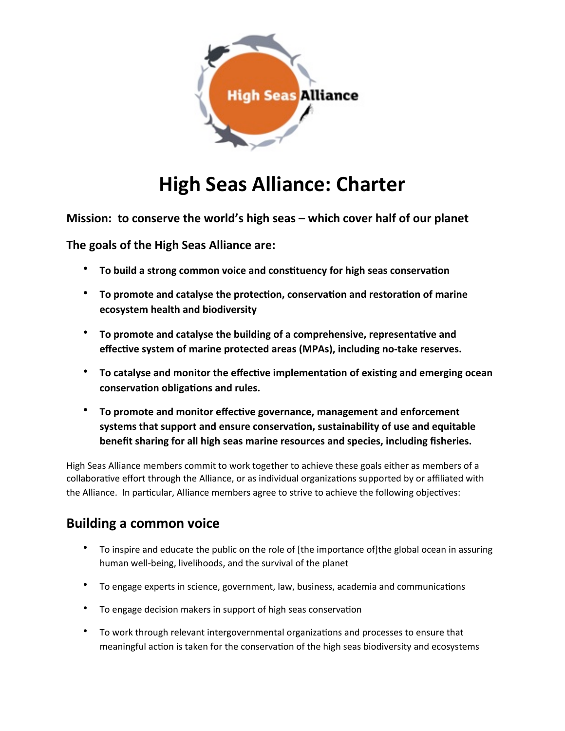

# **High Seas Alliance: Charter**

**Mission: to conserve the world's high seas – which cover half of our planet** 

The goals of the High Seas Alliance are:

- To build a strong common voice and constituency for high seas conservation
- To promote and catalyse the protection, conservation and restoration of marine **ecosystem health and biodiversity**
- To promote and catalyse the building of a comprehensive, representative and effective system of marine protected areas (MPAs), including no-take reserves.
- To catalyse and monitor the effective implementation of existing and emerging ocean conservation obligations and rules.
- \* To promote and monitor effective governance, management and enforcement systems that support and ensure conservation, sustainability of use and equitable benefit sharing for all high seas marine resources and species, including fisheries.

High Seas Alliance members commit to work together to achieve these goals either as members of a collaborative effort through the Alliance, or as individual organizations supported by or affiliated with the Alliance. In particular, Alliance members agree to strive to achieve the following objectives:

## **Building a common voice**

- To inspire and educate the public on the role of [the importance of]the global ocean in assuring human well-being, livelihoods, and the survival of the planet
- To engage experts in science, government, law, business, academia and communications
- To engage decision makers in support of high seas conservation
- To work through relevant intergovernmental organizations and processes to ensure that meaningful action is taken for the conservation of the high seas biodiversity and ecosystems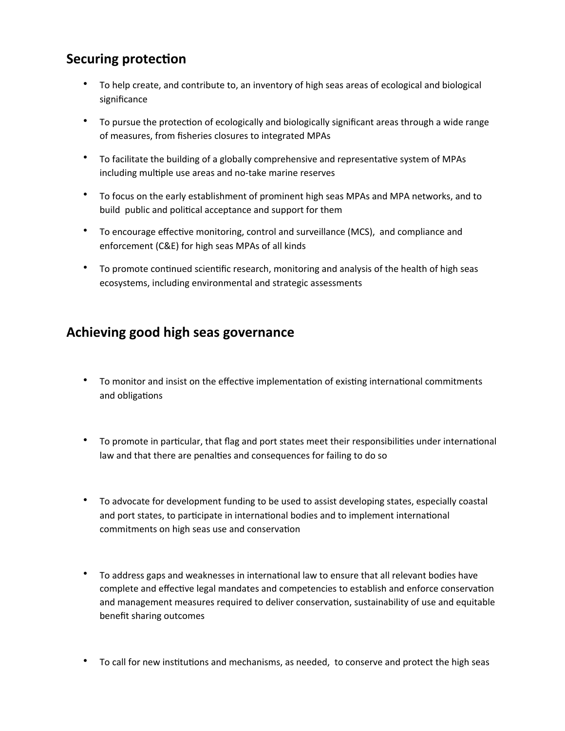# **Securing protection**

- To help create, and contribute to, an inventory of high seas areas of ecological and biological significance
- \* To pursue the protection of ecologically and biologically significant areas through a wide range of measures, from fisheries closures to integrated MPAs
- To facilitate the building of a globally comprehensive and representative system of MPAs including multiple use areas and no-take marine reserves
- To focus on the early establishment of prominent high seas MPAs and MPA networks, and to build public and political acceptance and support for them
- To encourage effective monitoring, control and surveillance (MCS), and compliance and enforcement (C&E) for high seas MPAs of all kinds
- To promote continued scientific research, monitoring and analysis of the health of high seas ecosystems, including environmental and strategic assessments

#### Achieving good high seas governance

- To monitor and insist on the effective implementation of existing international commitments and obligations
- To promote in particular, that flag and port states meet their responsibilities under international law and that there are penalties and consequences for failing to do so
- \* To advocate for development funding to be used to assist developing states, especially coastal and port states, to participate in international bodies and to implement international commitments on high seas use and conservation
- To address gaps and weaknesses in international law to ensure that all relevant bodies have complete and effective legal mandates and competencies to establish and enforce conservation and management measures required to deliver conservation, sustainability of use and equitable benefit sharing outcomes
- To call for new institutions and mechanisms, as needed, to conserve and protect the high seas